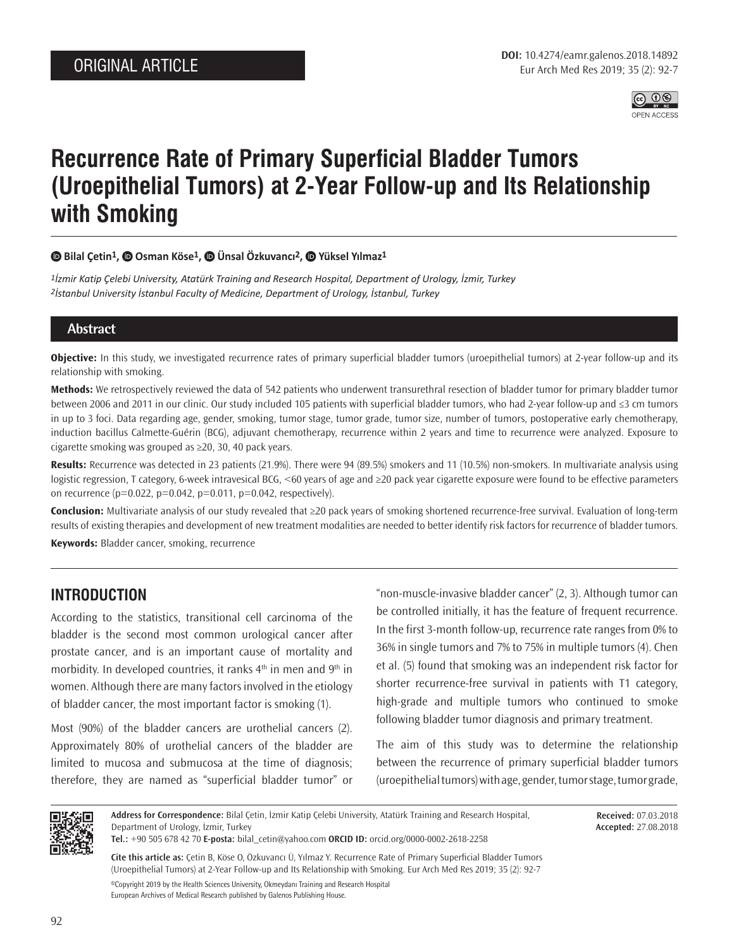

# **Recurrence Rate of Primary Superficial Bladder Tumors (Uroepithelial Tumors) at 2-Year Follow-up and Its Relationship with Smoking**

#### **Bilal Çetin1,Osman Köse1,Ünsal Özkuvancı2, [Y](https://orcid.org/0000-0002-0548-9322)üksel Yılmaz1**

*1İzmir Katip Çelebi University, Atatürk Training and Research Hospital, Department of Urology, İzmir, Turkey 2İstanbul University İstanbul Faculty of Medicine, Department of Urology, İstanbul, Turkey*

#### **Abstract**

**Objective:** In this study, we investigated recurrence rates of primary superficial bladder tumors (uroepithelial tumors) at 2-year follow-up and its relationship with smoking.

**Methods:** We retrospectively reviewed the data of 542 patients who underwent transurethral resection of bladder tumor for primary bladder tumor between 2006 and 2011 in our clinic. Our study included 105 patients with superficial bladder tumors, who had 2-year follow-up and ≤3 cm tumors in up to 3 foci. Data regarding age, gender, smoking, tumor stage, tumor grade, tumor size, number of tumors, postoperative early chemotherapy, induction bacillus Calmette-Guérin (BCG), adjuvant chemotherapy, recurrence within 2 years and time to recurrence were analyzed. Exposure to cigarette smoking was grouped as ≥20, 30, 40 pack years.

**Results:** Recurrence was detected in 23 patients (21.9%). There were 94 (89.5%) smokers and 11 (10.5%) non-smokers. In multivariate analysis using logistic regression, T category, 6-week intravesical BCG, <60 years of age and ≥20 pack year cigarette exposure were found to be effective parameters on recurrence ( $p=0.022$ ,  $p=0.042$ ,  $p=0.011$ ,  $p=0.042$ , respectively).

**Conclusion:** Multivariate analysis of our study revealed that ≥20 pack years of smoking shortened recurrence-free survival. Evaluation of long-term results of existing therapies and development of new treatment modalities are needed to better identify risk factors for recurrence of bladder tumors. **Keywords:** Bladder cancer, smoking, recurrence

## **INTRODUCTION**

According to the statistics, transitional cell carcinoma of the bladder is the second most common urological cancer after prostate cancer, and is an important cause of mortality and morbidity. In developed countries, it ranks  $4<sup>th</sup>$  in men and  $9<sup>th</sup>$  in women. Although there are many factors involved in the etiology of bladder cancer, the most important factor is smoking (1).

Most (90%) of the bladder cancers are urothelial cancers (2). Approximately 80% of urothelial cancers of the bladder are limited to mucosa and submucosa at the time of diagnosis; therefore, they are named as "superficial bladder tumor" or "non-muscle-invasive bladder cancer" (2, 3). Although tumor can be controlled initially, it has the feature of frequent recurrence. In the first 3-month follow-up, recurrence rate ranges from 0% to 36% in single tumors and 7% to 75% in multiple tumors (4). Chen et al. (5) found that smoking was an independent risk factor for shorter recurrence-free survival in patients with T1 category, high-grade and multiple tumors who continued to smoke following bladder tumor diagnosis and primary treatment.

The aim of this study was to determine the relationship between the recurrence of primary superficial bladder tumors (uroepithelial tumors) with age, gender, tumor stage, tumor grade,



**Address for Correspondence:** Bilal Çetin, İzmir Katip Çelebi University, Atatürk Training and Research Hospital, Department of Urology, İzmir, Turkey

**Received:** 07.03.2018 **Accepted:** 27.08.2018

**Tel.:** +90 505 678 42 70 **E-posta:** bilal\_cetin@yahoo.com **ORCID ID:** orcid.org/0000-0002-2618-2258

**Cite this article as:** Çetin B, Köse O, Özkuvancı Ü, Yılmaz Y. Recurrence Rate of Primary Superficial Bladder Tumors (Uroepithelial Tumors) at 2-Year Follow-up and Its Relationship with Smoking. Eur Arch Med Res 2019; 35 (2): 92-7 ©Copyright 2019 by the Health Sciences University, Okmeydanı Training and Research Hospital European Archives of Medical Research published by Galenos Publishing House.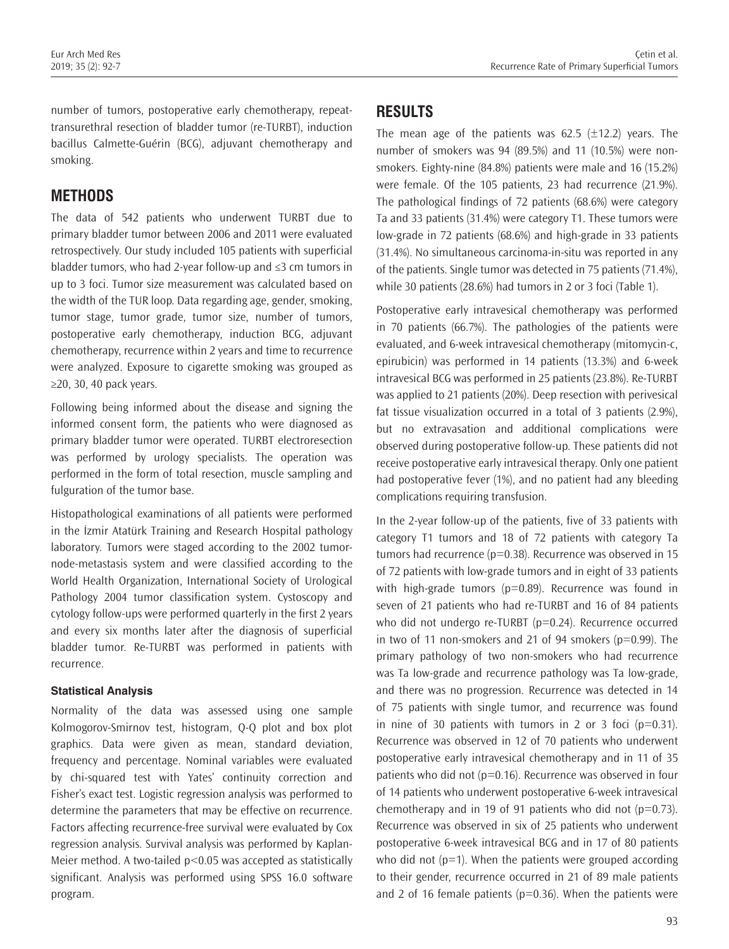number of tumors, postoperative early chemotherapy, repeattransurethral resection of bladder tumor (re-TURBT), induction bacillus Calmette-Guérin (BCG), adjuvant chemotherapy and smoking.

## **METHODS**

The data of 542 patients who underwent TURBT due to primary bladder tumor between 2006 and 2011 were evaluated retrospectively. Our study included 105 patients with superficial bladder tumors, who had 2-year follow-up and ≤3 cm tumors in up to 3 foci. Tumor size measurement was calculated based on the width of the TUR loop. Data regarding age, gender, smoking, tumor stage, tumor grade, tumor size, number of tumors, postoperative early chemotherapy, induction BCG, adjuvant chemotherapy, recurrence within 2 years and time to recurrence were analyzed. Exposure to cigarette smoking was grouped as ≥20, 30, 40 pack years.

Following being informed about the disease and signing the informed consent form, the patients who were diagnosed as primary bladder tumor were operated. TURBT electroresection was performed by urology specialists. The operation was performed in the form of total resection, muscle sampling and fulguration of the tumor base.

Histopathological examinations of all patients were performed in the İzmir Atatürk Training and Research Hospital pathology laboratory. Tumors were staged according to the 2002 tumornode-metastasis system and were classified according to the World Health Organization, International Society of Urological Pathology 2004 tumor classification system. Cystoscopy and cytology follow-ups were performed quarterly in the first 2 years and every six months later after the diagnosis of superficial bladder tumor. Re-TURBT was performed in patients with recurrence.

#### **Statistical Analysis**

Normality of the data was assessed using one sample Kolmogorov-Smirnov test, histogram, Q-Q plot and box plot graphics. Data were given as mean, standard deviation, frequency and percentage. Nominal variables were evaluated by chi-squared test with Yates' continuity correction and Fisher's exact test. Logistic regression analysis was performed to determine the parameters that may be effective on recurrence. Factors affecting recurrence-free survival were evaluated by Cox regression analysis. Survival analysis was performed by Kaplan-Meier method. A two-tailed p<0.05 was accepted as statistically significant. Analysis was performed using SPSS 16.0 software program.

## **RESULTS**

The mean age of the patients was  $62.5$  ( $\pm$ 12.2) years. The number of smokers was 94 (89.5%) and 11 (10.5%) were nonsmokers. Eighty-nine (84.8%) patients were male and 16 (15.2%) were female. Of the 105 patients, 23 had recurrence (21.9%). The pathological findings of 72 patients (68.6%) were category Ta and 33 patients (31.4%) were category T1. These tumors were low-grade in 72 patients (68.6%) and high-grade in 33 patients (31.4%). No simultaneous carcinoma-in-situ was reported in any of the patients. Single tumor was detected in 75 patients (71.4%), while 30 patients (28.6%) had tumors in 2 or 3 foci (Table 1).

Postoperative early intravesical chemotherapy was performed in 70 patients (66.7%). The pathologies of the patients were evaluated, and 6-week intravesical chemotherapy (mitomycin-c, epirubicin) was performed in 14 patients (13.3%) and 6-week intravesical BCG was performed in 25 patients (23.8%). Re-TURBT was applied to 21 patients (20%). Deep resection with perivesical fat tissue visualization occurred in a total of 3 patients (2.9%), but no extravasation and additional complications were observed during postoperative follow-up. These patients did not receive postoperative early intravesical therapy. Only one patient had postoperative fever (1%), and no patient had any bleeding complications requiring transfusion.

In the 2-year follow-up of the patients, five of 33 patients with category T1 tumors and 18 of 72 patients with category Ta tumors had recurrence (p=0.38). Recurrence was observed in 15 of 72 patients with low-grade tumors and in eight of 33 patients with high-grade tumors ( $p=0.89$ ). Recurrence was found in seven of 21 patients who had re-TURBT and 16 of 84 patients who did not undergo re-TURBT (p=0.24). Recurrence occurred in two of 11 non-smokers and 21 of 94 smokers ( $p=0.99$ ). The primary pathology of two non-smokers who had recurrence was Ta low-grade and recurrence pathology was Ta low-grade, and there was no progression. Recurrence was detected in 14 of 75 patients with single tumor, and recurrence was found in nine of 30 patients with tumors in 2 or 3 foci ( $p=0.31$ ). Recurrence was observed in 12 of 70 patients who underwent postoperative early intravesical chemotherapy and in 11 of 35 patients who did not ( $p=0.16$ ). Recurrence was observed in four of 14 patients who underwent postoperative 6-week intravesical chemotherapy and in 19 of 91 patients who did not  $(p=0.73)$ . Recurrence was observed in six of 25 patients who underwent postoperative 6-week intravesical BCG and in 17 of 80 patients who did not  $(p=1)$ . When the patients were grouped according to their gender, recurrence occurred in 21 of 89 male patients and 2 of 16 female patients ( $p=0.36$ ). When the patients were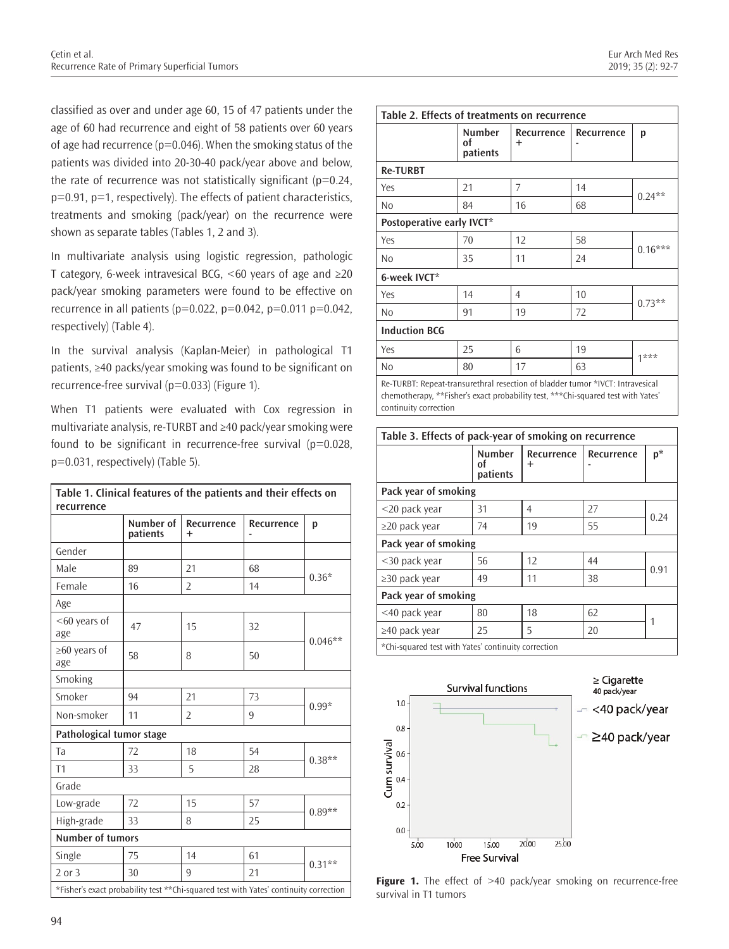classified as over and under age 60, 15 of 47 patients under the age of 60 had recurrence and eight of 58 patients over 60 years of age had recurrence ( $p=0.046$ ). When the smoking status of the patients was divided into 20-30-40 pack/year above and below, the rate of recurrence was not statistically significant ( $p=0.24$ , p=0.91, p=1, respectively). The effects of patient characteristics, treatments and smoking (pack/year) on the recurrence were shown as separate tables (Tables 1, 2 and 3).

In multivariate analysis using logistic regression, pathologic T category, 6-week intravesical BCG, <60 years of age and ≥20 pack/year smoking parameters were found to be effective on recurrence in all patients ( $p=0.022$ ,  $p=0.042$ ,  $p=0.011$   $p=0.042$ , respectively) (Table 4).

In the survival analysis (Kaplan-Meier) in pathological T1 patients, ≥40 packs/year smoking was found to be significant on recurrence-free survival (p=0.033) (Figure 1).

When T1 patients were evaluated with Cox regression in multivariate analysis, re-TURBT and ≥40 pack/year smoking were found to be significant in recurrence-free survival  $(p=0.028,$ p=0.031, respectively) (Table 5).

|                                                                                        | Number of<br>patients | Recurrence<br>$\ddot{}$ | Recurrence | p         |  |
|----------------------------------------------------------------------------------------|-----------------------|-------------------------|------------|-----------|--|
| Gender                                                                                 |                       |                         |            |           |  |
| Male                                                                                   | 89                    | 21                      | 68         | $0.36*$   |  |
| Female                                                                                 | 16                    | $\overline{2}$          | 14         |           |  |
| Age                                                                                    |                       |                         |            |           |  |
| $<$ 60 years of<br>age                                                                 | 47                    | 15                      | 32         | $0.046**$ |  |
| $\geq 60$ years of<br>age                                                              | 58                    | 8                       | 50         |           |  |
| Smoking                                                                                |                       |                         |            |           |  |
| Smoker                                                                                 | 94                    | 21                      | 73         |           |  |
| Non-smoker                                                                             | 11                    | $\overline{2}$          | 9          | $0.99*$   |  |
| Pathological tumor stage                                                               |                       |                         |            |           |  |
| Ta                                                                                     | 72                    | 18                      | 54         | $0.38**$  |  |
| T1                                                                                     | 33                    | 5                       | 28         |           |  |
| Grade                                                                                  |                       |                         |            |           |  |
| Low-grade                                                                              | 72                    | 15                      | 57         |           |  |
| High-grade                                                                             | 33                    | 8                       | 25         | $0.89**$  |  |
| <b>Number of tumors</b>                                                                |                       |                         |            |           |  |
| Single                                                                                 | 75                    | 14                      | 61         | $0.31**$  |  |
| $2$ or $3$                                                                             | 30                    | 9                       | 21         |           |  |
| *Fisher's exact probability test ** Chi-squared test with Yates' continuity correction |                       |                         |            |           |  |

| Table 2. Effects of treatments on recurrence                                                                                                                      |                                 |                      |            |           |  |
|-------------------------------------------------------------------------------------------------------------------------------------------------------------------|---------------------------------|----------------------|------------|-----------|--|
|                                                                                                                                                                   | <b>Number</b><br>of<br>patients | Recurrence<br>$\div$ | Recurrence | p         |  |
| <b>Re-TURBT</b>                                                                                                                                                   |                                 |                      |            |           |  |
| Yes                                                                                                                                                               | 21                              | 7                    | 14         | $0.24**$  |  |
| N <sub>0</sub>                                                                                                                                                    | 84                              | 16                   | 68         |           |  |
| Postoperative early IVCT*                                                                                                                                         |                                 |                      |            |           |  |
| Yes                                                                                                                                                               | 70                              | 12                   | 58         |           |  |
| N <sub>0</sub>                                                                                                                                                    | 35                              | 11                   | 24         | $0.16***$ |  |
| 6-week IVCT*                                                                                                                                                      |                                 |                      |            |           |  |
| Yes                                                                                                                                                               | 14                              | $\overline{4}$       | 10         | $0.73**$  |  |
| No                                                                                                                                                                | 91                              | 19                   | 72         |           |  |
| <b>Induction BCG</b>                                                                                                                                              |                                 |                      |            |           |  |
| Yes                                                                                                                                                               | 25                              | 6                    | 19         | $1***$    |  |
| N <sub>o</sub>                                                                                                                                                    | 80                              | 17                   | 63         |           |  |
| Re-TURBT: Repeat-transurethral resection of bladder tumor *IVCT: Intravesical<br>chemotherapy, **Fisher's exact probability test, ***Chi-squared test with Yates' |                                 |                      |            |           |  |

continuity correction

| Table 3. Effects of pack-year of smoking on recurrence |                                 |                         |            |      |  |  |
|--------------------------------------------------------|---------------------------------|-------------------------|------------|------|--|--|
|                                                        | <b>Number</b><br>Ωt<br>patients | Recurrence<br>$\ddot{}$ | Recurrence | p*   |  |  |
| Pack year of smoking                                   |                                 |                         |            |      |  |  |
| $<$ 20 pack year                                       | 31                              | 4                       | 27         | 0.24 |  |  |
| $\geq$ 20 pack year                                    | 74                              | 19                      | 55         |      |  |  |
| Pack year of smoking                                   |                                 |                         |            |      |  |  |
| $<$ 30 pack year                                       | 56                              | 12                      | 44         | 0.91 |  |  |
| $\geq$ 30 pack year                                    | 49                              | 11                      | 38         |      |  |  |
| Pack year of smoking                                   |                                 |                         |            |      |  |  |
| <40 pack year                                          | 80                              | 18                      | 62         |      |  |  |
| $\geq$ 40 pack year                                    | 25                              | 5                       | 20         |      |  |  |
| *Chi-squared test with Yates' continuity correction    |                                 |                         |            |      |  |  |



**Figure 1.** The effect of >40 pack/year smoking on recurrence-free survival in T1 tumors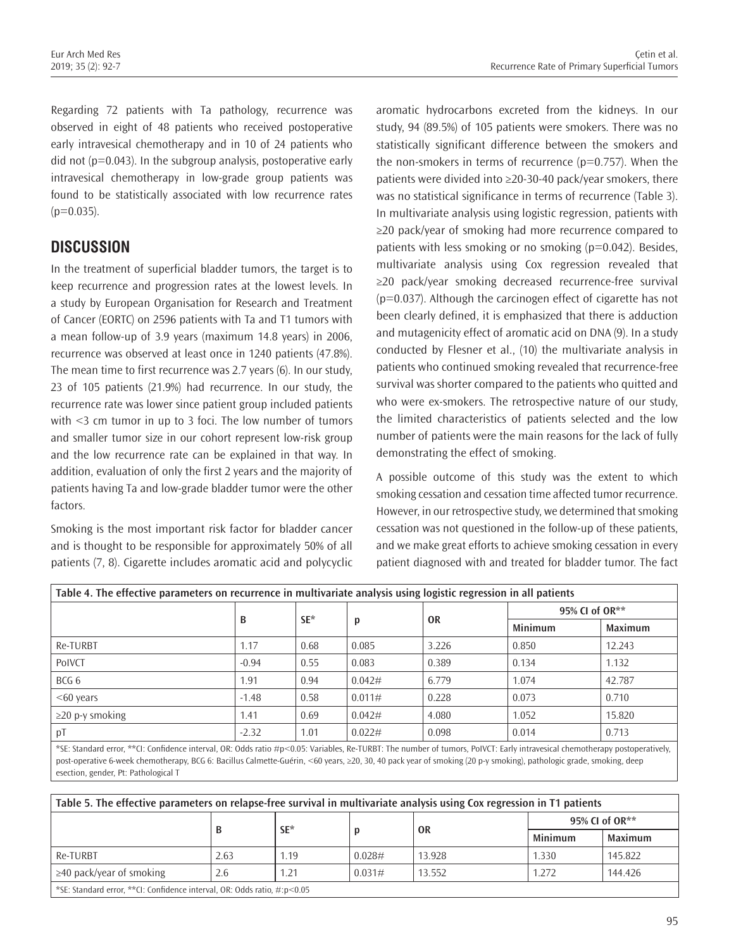Regarding 72 patients with Ta pathology, recurrence was observed in eight of 48 patients who received postoperative early intravesical chemotherapy and in 10 of 24 patients who did not (p=0.043). In the subgroup analysis, postoperative early intravesical chemotherapy in low-grade group patients was found to be statistically associated with low recurrence rates  $(p=0.035)$ .

## **DISCUSSION**

In the treatment of superficial bladder tumors, the target is to keep recurrence and progression rates at the lowest levels. In a study by European Organisation for Research and Treatment of Cancer (EORTC) on 2596 patients with Ta and T1 tumors with a mean follow-up of 3.9 years (maximum 14.8 years) in 2006, recurrence was observed at least once in 1240 patients (47.8%). The mean time to first recurrence was 2.7 years (6). In our study, 23 of 105 patients (21.9%) had recurrence. In our study, the recurrence rate was lower since patient group included patients with <3 cm tumor in up to 3 foci. The low number of tumors and smaller tumor size in our cohort represent low-risk group and the low recurrence rate can be explained in that way. In addition, evaluation of only the first 2 years and the majority of patients having Ta and low-grade bladder tumor were the other factors.

Smoking is the most important risk factor for bladder cancer and is thought to be responsible for approximately 50% of all patients (7, 8). Cigarette includes aromatic acid and polycyclic aromatic hydrocarbons excreted from the kidneys. In our study, 94 (89.5%) of 105 patients were smokers. There was no statistically significant difference between the smokers and the non-smokers in terms of recurrence  $(p=0.757)$ . When the patients were divided into ≥20-30-40 pack/year smokers, there was no statistical significance in terms of recurrence (Table 3). In multivariate analysis using logistic regression, patients with ≥20 pack/year of smoking had more recurrence compared to patients with less smoking or no smoking (p=0.042). Besides, multivariate analysis using Cox regression revealed that ≥20 pack/year smoking decreased recurrence-free survival (p=0.037). Although the carcinogen effect of cigarette has not been clearly defined, it is emphasized that there is adduction and mutagenicity effect of aromatic acid on DNA (9). In a study conducted by Flesner et al., (10) the multivariate analysis in patients who continued smoking revealed that recurrence-free survival was shorter compared to the patients who quitted and who were ex-smokers. The retrospective nature of our study, the limited characteristics of patients selected and the low number of patients were the main reasons for the lack of fully demonstrating the effect of smoking.

A possible outcome of this study was the extent to which smoking cessation and cessation time affected tumor recurrence. However, in our retrospective study, we determined that smoking cessation was not questioned in the follow-up of these patients, and we make great efforts to achieve smoking cessation in every patient diagnosed with and treated for bladder tumor. The fact

|                       |         |        |        | 0R    | 95% CI of OR** |                |
|-----------------------|---------|--------|--------|-------|----------------|----------------|
|                       | B       | $SE^*$ | р      |       | <b>Minimum</b> | <b>Maximum</b> |
| Re-TURBT              | 1.17    | 0.68   | 0.085  | 3.226 | 0.850          | 12.243         |
| PolVCT                | $-0.94$ | 0.55   | 0.083  | 0.389 | 0.134          | 1.132          |
| BCG 6                 | 1.91    | 0.94   | 0.042# | 6.779 | 1.074          | 42.787         |
| $<60$ years           | $-1.48$ | 0.58   | 0.011# | 0.228 | 0.073          | 0.710          |
| $\geq$ 20 p-y smoking | 1.41    | 0.69   | 0.042# | 4.080 | 1.052          | 15.820         |
| pT                    | $-2.32$ | 1.01   | 0.022# | 0.098 | 0.014          | 0.713          |

post-operative 6-week chemotherapy, BCG 6: Bacillus Calmette-Guérin, <60 years, ≥20, 30, 40 pack year of smoking (20 p-y smoking), pathologic grade, smoking, deep esection, gender, Pt: Pathological T

| Table 5. The effective parameters on relapse-free survival in multivariate analysis using Cox regression in T1 patients |      |        |        |        |                |         |
|-------------------------------------------------------------------------------------------------------------------------|------|--------|--------|--------|----------------|---------|
|                                                                                                                         |      | $SE^*$ |        |        | 95% CL of OR** |         |
|                                                                                                                         |      |        |        | 0R     | <b>Minimum</b> | Maximum |
| Re-TURBT                                                                                                                | 2.63 | 1.19   | 0.028# | 13.928 | 1.330          | 145.822 |
| $\geq$ 40 pack/year of smoking                                                                                          | 2.6  | 1.21   | 0.031# | 13.552 | 1.272          | 144.426 |
| *SE: Standard error, **CI: Confidence interval, OR: Odds ratio, #:p<0.05                                                |      |        |        |        |                |         |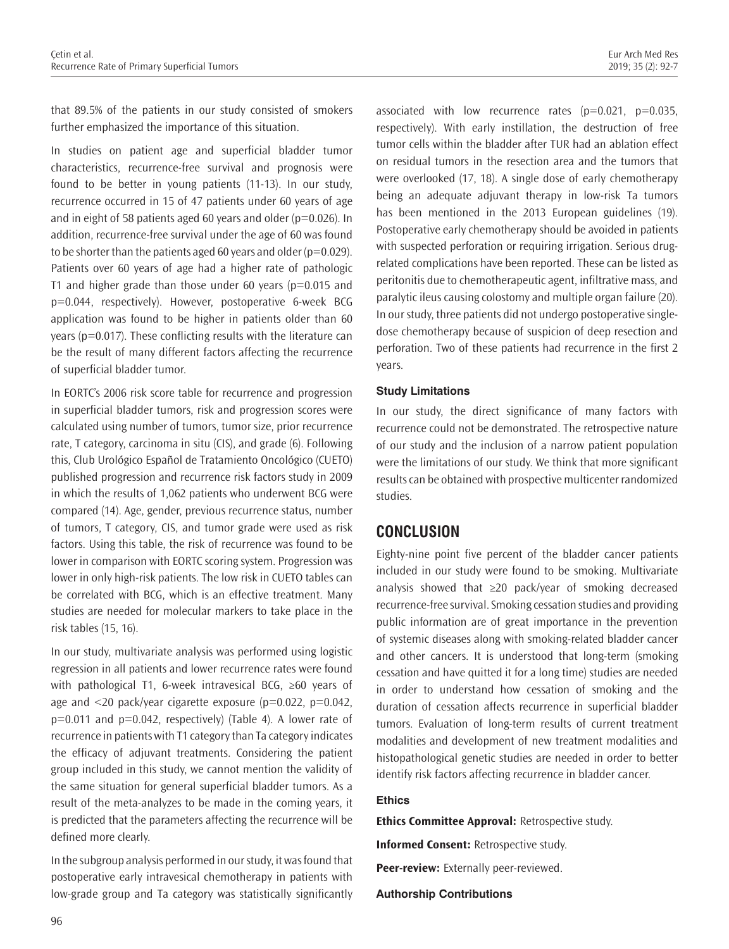that 89.5% of the patients in our study consisted of smokers further emphasized the importance of this situation.

In studies on patient age and superficial bladder tumor characteristics, recurrence-free survival and prognosis were found to be better in young patients (11-13). In our study, recurrence occurred in 15 of 47 patients under 60 years of age and in eight of 58 patients aged 60 years and older ( $p=0.026$ ). In addition, recurrence-free survival under the age of 60 was found to be shorter than the patients aged 60 years and older ( $p=0.029$ ). Patients over 60 years of age had a higher rate of pathologic T1 and higher grade than those under 60 years ( $p=0.015$  and p=0.044, respectively). However, postoperative 6-week BCG application was found to be higher in patients older than 60 years (p=0.017). These conflicting results with the literature can be the result of many different factors affecting the recurrence of superficial bladder tumor.

In EORTC's 2006 risk score table for recurrence and progression in superficial bladder tumors, risk and progression scores were calculated using number of tumors, tumor size, prior recurrence rate, T category, carcinoma in situ (CIS), and grade (6). Following this, Club Urológico Español de Tratamiento Oncológico (CUETO) published progression and recurrence risk factors study in 2009 in which the results of 1,062 patients who underwent BCG were compared (14). Age, gender, previous recurrence status, number of tumors, T category, CIS, and tumor grade were used as risk factors. Using this table, the risk of recurrence was found to be lower in comparison with EORTC scoring system. Progression was lower in only high-risk patients. The low risk in CUETO tables can be correlated with BCG, which is an effective treatment. Many studies are needed for molecular markers to take place in the risk tables (15, 16).

In our study, multivariate analysis was performed using logistic regression in all patients and lower recurrence rates were found with pathological T1, 6-week intravesical BCG, ≥60 years of age and  $\langle 20 \rangle$  pack/year cigarette exposure (p=0.022, p=0.042, p=0.011 and p=0.042, respectively) (Table 4). A lower rate of recurrence in patients with T1 category than Ta category indicates the efficacy of adjuvant treatments. Considering the patient group included in this study, we cannot mention the validity of the same situation for general superficial bladder tumors. As a result of the meta-analyzes to be made in the coming years, it is predicted that the parameters affecting the recurrence will be defined more clearly.

In the subgroup analysis performed in our study, it was found that postoperative early intravesical chemotherapy in patients with low-grade group and Ta category was statistically significantly associated with low recurrence rates  $(p=0.021, p=0.035, p=0.035)$ respectively). With early instillation, the destruction of free tumor cells within the bladder after TUR had an ablation effect on residual tumors in the resection area and the tumors that were overlooked (17, 18). A single dose of early chemotherapy being an adequate adjuvant therapy in low-risk Ta tumors has been mentioned in the 2013 European guidelines (19). Postoperative early chemotherapy should be avoided in patients with suspected perforation or requiring irrigation. Serious drugrelated complications have been reported. These can be listed as peritonitis due to chemotherapeutic agent, infiltrative mass, and paralytic ileus causing colostomy and multiple organ failure (20). In our study, three patients did not undergo postoperative singledose chemotherapy because of suspicion of deep resection and perforation. Two of these patients had recurrence in the first 2 years.

#### **Study Limitations**

In our study, the direct significance of many factors with recurrence could not be demonstrated. The retrospective nature of our study and the inclusion of a narrow patient population were the limitations of our study. We think that more significant results can be obtained with prospective multicenter randomized studies.

## **CONCLUSION**

Eighty-nine point five percent of the bladder cancer patients included in our study were found to be smoking. Multivariate analysis showed that ≥20 pack/year of smoking decreased recurrence-free survival. Smoking cessation studies and providing public information are of great importance in the prevention of systemic diseases along with smoking-related bladder cancer and other cancers. It is understood that long-term (smoking cessation and have quitted it for a long time) studies are needed in order to understand how cessation of smoking and the duration of cessation affects recurrence in superficial bladder tumors. Evaluation of long-term results of current treatment modalities and development of new treatment modalities and histopathological genetic studies are needed in order to better identify risk factors affecting recurrence in bladder cancer.

#### **Ethics**

**Ethics Committee Approval:** Retrospective study.

**Informed Consent:** Retrospective study.

**Peer-review:** Externally peer-reviewed.

#### **Authorship Contributions**